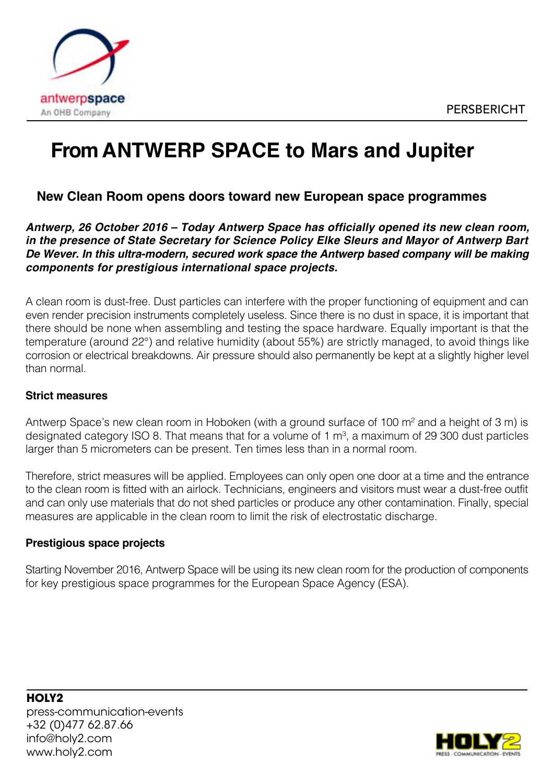

# **From ANTWERP SPACE to Mars and Jupiter**

# **New Clean Room opens doors toward new European space programmes**

*Antwerp, 26 October 2016 – Today Antwerp Space has officially opened its new clean room, in the presence of State Secretary for Science Policy Elke Sleurs and Mayor of Antwerp Bart De Wever. In this ultra-modern, secured work space the Antwerp based company will be making components for prestigious international space projects.*

A clean room is dust-free. Dust particles can interfere with the proper functioning of equipment and can even render precision instruments completely useless. Since there is no dust in space, it is important that there should be none when assembling and testing the space hardware. Equally important is that the temperature (around 22°) and relative humidity (about 55%) are strictly managed, to avoid things like corrosion or electrical breakdowns. Air pressure should also permanently be kept at a slightly higher level than normal.

#### **Strict measures**

Antwerp Space's new clean room in Hoboken (with a ground surface of 100 m<sup>2</sup> and a height of 3 m) is designated category ISO 8. That means that for a volume of 1  $m<sup>3</sup>$ , a maximum of 29 300 dust particles larger than 5 micrometers can be present. Ten times less than in a normal room.

Therefore, strict measures will be applied. Employees can only open one door at a time and the entrance to the clean room is fitted with an airlock. Technicians, engineers and visitors must wear a dust-free outfit and can only use materials that do not shed particles or produce any other contamination. Finally, special measures are applicable in the clean room to limit the risk of electrostatic discharge.

#### **Prestigious space projects**

Starting November 2016, Antwerp Space will be using its new clean room for the production of components for key prestigious space programmes for the European Space Agency (ESA).

**HOLY2** press-communication-events +32 (0)477 62.87.66 info@holy2.com www.holy2.com

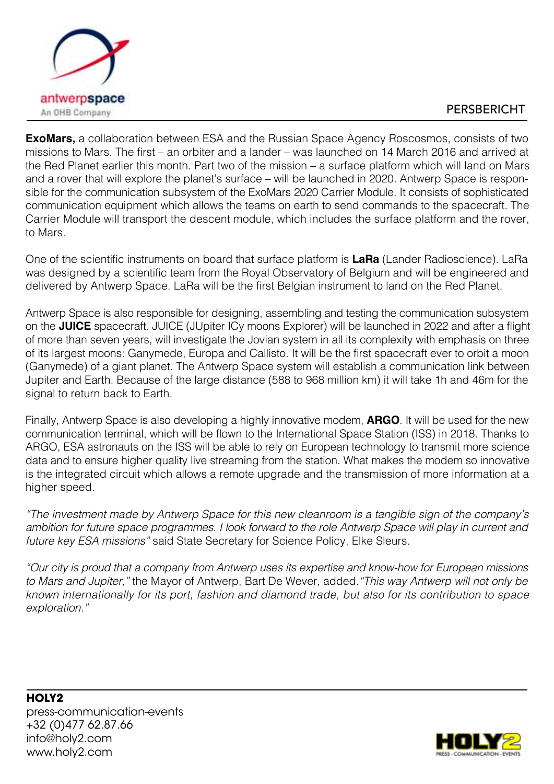

## PERSBERICHT

**ExoMars,** a collaboration between ESA and the Russian Space Agency Roscosmos, consists of two missions to Mars. The first – an orbiter and a lander – was launched on 14 March 2016 and arrived at the Red Planet earlier this month. Part two of the mission – a surface platform which will land on Mars and a rover that will explore the planet's surface – will be launched in 2020. Antwerp Space is responsible for the communication subsystem of the ExoMars 2020 Carrier Module. It consists of sophisticated communication equipment which allows the teams on earth to send commands to the spacecraft. The Carrier Module will transport the descent module, which includes the surface platform and the rover, to Mars.

One of the scientific instruments on board that surface platform is **LaRa** (Lander Radioscience). LaRa was designed by a scientific team from the Royal Observatory of Belgium and will be engineered and delivered by Antwerp Space. LaRa will be the first Belgian instrument to land on the Red Planet.

Antwerp Space is also responsible for designing, assembling and testing the communication subsystem on the **JUICE** spacecraft. JUICE (JUpiter ICy moons Explorer) will be launched in 2022 and after a flight of more than seven years, will investigate the Jovian system in all its complexity with emphasis on three of its largest moons: Ganymede, Europa and Callisto. It will be the first spacecraft ever to orbit a moon (Ganymede) of a giant planet. The Antwerp Space system will establish a communication link between Jupiter and Earth. Because of the large distance (588 to 968 million km) it will take 1h and 46m for the signal to return back to Earth.

Finally, Antwerp Space is also developing a highly innovative modem, **ARGO**. It will be used for the new communication terminal, which will be flown to the International Space Station (ISS) in 2018. Thanks to ARGO, ESA astronauts on the ISS will be able to rely on European technology to transmit more science data and to ensure higher quality live streaming from the station. What makes the modem so innovative is the integrated circuit which allows a remote upgrade and the transmission of more information at a higher speed.

*"The investment made by Antwerp Space for this new cleanroom is a tangible sign of the company's ambition for future space programmes. I look forward to the role Antwerp Space will play in current and future key ESA missions"* said State Secretary for Science Policy, Elke Sleurs.

*"Our city is proud that a company from Antwerp uses its expertise and know-how for European missions to Mars and Jupiter,"* the Mayor of Antwerp, Bart De Wever, added.*"This way Antwerp will not only be known internationally for its port, fashion and diamond trade, but also for its contribution to space exploration."*

**HOLY2** press-communication-events +32 (0)477 62.87.66 info@holy2.com www.holy2.com